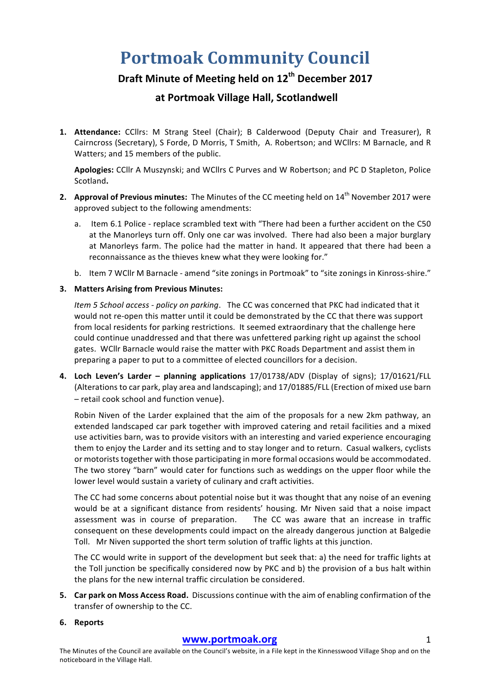# **Portmoak Community Council**

## **Draft Minute of Meeting held on 12th December 2017**

### **at Portmoak Village Hall, Scotlandwell**

**1.** Attendance: CCllrs: M Strang Steel (Chair); B Calderwood (Deputy Chair and Treasurer), R Cairncross (Secretary), S Forde, D Morris, T Smith, A. Robertson; and WCllrs: M Barnacle, and R Watters; and 15 members of the public.

Apologies: CCllr A Muszynski; and WCllrs C Purves and W Robertson; and PC D Stapleton, Police Scotland**.**

- **2. Approval of Previous minutes:** The Minutes of the CC meeting held on 14<sup>th</sup> November 2017 were approved subject to the following amendments:
	- a. Item 6.1 Police replace scrambled text with "There had been a further accident on the C50 at the Manorleys turn off. Only one car was involved. There had also been a major burglary at Manorleys farm. The police had the matter in hand. It appeared that there had been a reconnaissance as the thieves knew what they were looking for."
	- b. Item 7 WCllr M Barnacle amend "site zonings in Portmoak" to "site zonings in Kinross-shire."

#### **3. Matters Arising from Previous Minutes:**

*Item 5 School access - policy on parking*. The CC was concerned that PKC had indicated that it would not re-open this matter until it could be demonstrated by the CC that there was support from local residents for parking restrictions. It seemed extraordinary that the challenge here could continue unaddressed and that there was unfettered parking right up against the school gates. WCllr Barnacle would raise the matter with PKC Roads Department and assist them in preparing a paper to put to a committee of elected councillors for a decision.

**4. Loch Leven's Larder – planning applications**  17/01738/ADV (Display of signs); 17/01621/FLL (Alterations to car park, play area and landscaping); and 17/01885/FLL (Erection of mixed use barn  $-$  retail cook school and function venue).

Robin Niven of the Larder explained that the aim of the proposals for a new 2km pathway, an extended landscaped car park together with improved catering and retail facilities and a mixed use activities barn, was to provide visitors with an interesting and varied experience encouraging them to enjoy the Larder and its setting and to stay longer and to return. Casual walkers, cyclists or motorists together with those participating in more formal occasions would be accommodated. The two storey "barn" would cater for functions such as weddings on the upper floor while the lower level would sustain a variety of culinary and craft activities.

The CC had some concerns about potential noise but it was thought that any noise of an evening would be at a significant distance from residents' housing. Mr Niven said that a noise impact assessment was in course of preparation. The CC was aware that an increase in traffic consequent on these developments could impact on the already dangerous junction at Balgedie Toll. Mr Niven supported the short term solution of traffic lights at this junction.

The CC would write in support of the development but seek that: a) the need for traffic lights at the Toll junction be specifically considered now by PKC and b) the provision of a bus halt within the plans for the new internal traffic circulation be considered.

**5.** Car park on Moss Access Road. Discussions continue with the aim of enabling confirmation of the transfer of ownership to the CC.

#### **6. Reports**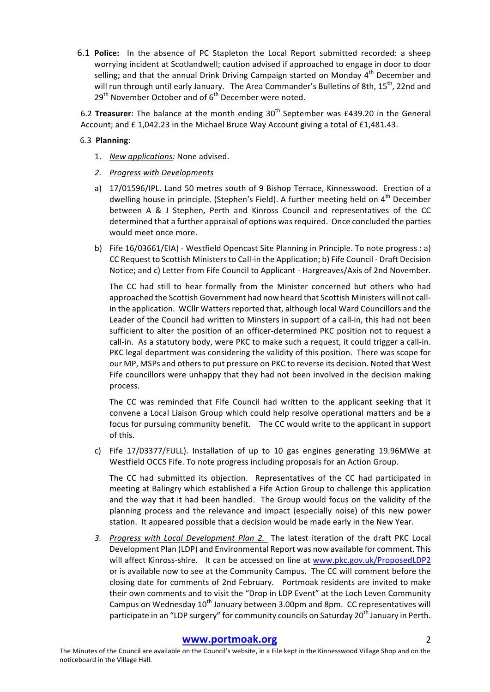6.1 **Police:** In the absence of PC Stapleton the Local Report submitted recorded: a sheep worrying incident at Scotlandwell; caution advised if approached to engage in door to door selling; and that the annual Drink Driving Campaign started on Monday  $4<sup>th</sup>$  December and will run through until early January. The Area Commander's Bulletins of 8th,  $15^{th}$ , 22nd and  $29<sup>th</sup>$  November October and of  $6<sup>th</sup>$  December were noted.

6.2 Treasurer: The balance at the month ending 30<sup>th</sup> September was £439.20 in the General Account; and  $£ 1,042.23$  in the Michael Bruce Way Account giving a total of £1,481.43.

#### 6.3 **Planning**:

- 1. *New applications:* None advised.
- 2. Progress with Developments
- a) 17/01596/IPL. Land 50 metres south of 9 Bishop Terrace, Kinnesswood. Erection of a dwelling house in principle. (Stephen's Field). A further meeting held on  $4<sup>th</sup>$  December between A & J Stephen, Perth and Kinross Council and representatives of the CC determined that a further appraisal of options was required. Once concluded the parties would meet once more.
- b) Fife  $16/03661/EA$  Westfield Opencast Site Planning in Principle. To note progress : a) CC Request to Scottish Ministers to Call-in the Application; b) Fife Council - Draft Decision Notice; and c) Letter from Fife Council to Applicant - Hargreaves/Axis of 2nd November.

The CC had still to hear formally from the Minister concerned but others who had approached the Scottish Government had now heard that Scottish Ministers will not callin the application. WCllr Watters reported that, although local Ward Councillors and the Leader of the Council had written to Minsters in support of a call-in, this had not been sufficient to alter the position of an officer-determined PKC position not to request a call-in. As a statutory body, were PKC to make such a request, it could trigger a call-in. PKC legal department was considering the validity of this position. There was scope for our MP, MSPs and others to put pressure on PKC to reverse its decision. Noted that West Fife councillors were unhappy that they had not been involved in the decision making process.

The CC was reminded that Fife Council had written to the applicant seeking that it convene a Local Liaison Group which could help resolve operational matters and be a focus for pursuing community benefit. The CC would write to the applicant in support of this.

c) Fife 17/03377/FULL). Installation of up to 10 gas engines generating 19.96MWe at Westfield OCCS Fife. To note progress including proposals for an Action Group.

The CC had submitted its objection. Representatives of the CC had participated in meeting at Balingry which established a Fife Action Group to challenge this application and the way that it had been handled. The Group would focus on the validity of the planning process and the relevance and impact (especially noise) of this new power station. It appeared possible that a decision would be made early in the New Year.

3. Progress with Local Development Plan 2. The latest iteration of the draft PKC Local Development Plan (LDP) and Environmental Report was now available for comment. This will affect Kinross-shire. It can be accessed on line at www.pkc.gov.uk/ProposedLDP2 or is available now to see at the Community Campus. The CC will comment before the closing date for comments of 2nd February. Portmoak residents are invited to make their own comments and to visit the "Drop in LDP Event" at the Loch Leven Community Campus on Wednesday  $10^{th}$  January between 3.00pm and 8pm. CC representatives will participate in an "LDP surgery" for community councils on Saturday 20<sup>th</sup> January in Perth.

#### **www.portmoak.org** 2